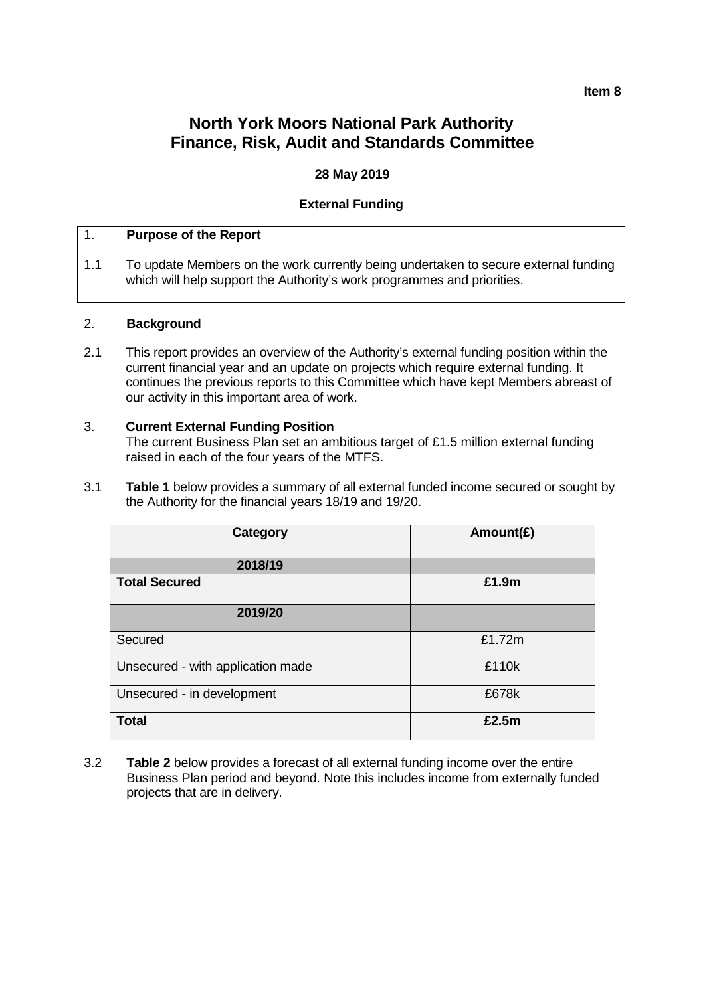# **North York Moors National Park Authority Finance, Risk, Audit and Standards Committee**

## **28 May 2019**

## **External Funding**

### 1. **Purpose of the Report**

1.1 To update Members on the work currently being undertaken to secure external funding which will help support the Authority's work programmes and priorities.

### 2. **Background**

2.1 This report provides an overview of the Authority's external funding position within the current financial year and an update on projects which require external funding. It continues the previous reports to this Committee which have kept Members abreast of our activity in this important area of work.

### 3. **Current External Funding Position**

The current Business Plan set an ambitious target of £1.5 million external funding raised in each of the four years of the MTFS.

3.1 **Table 1** below provides a summary of all external funded income secured or sought by the Authority for the financial years 18/19 and 19/20.

| Category                          | Amount( $E$ ) |
|-----------------------------------|---------------|
| 2018/19                           |               |
| <b>Total Secured</b>              | £1.9m         |
| 2019/20                           |               |
| Secured                           | £1.72m        |
| Unsecured - with application made | £110k         |
| Unsecured - in development        | £678k         |
| <b>Total</b>                      | £2.5m         |

3.2 **Table 2** below provides a forecast of all external funding income over the entire Business Plan period and beyond. Note this includes income from externally funded projects that are in delivery.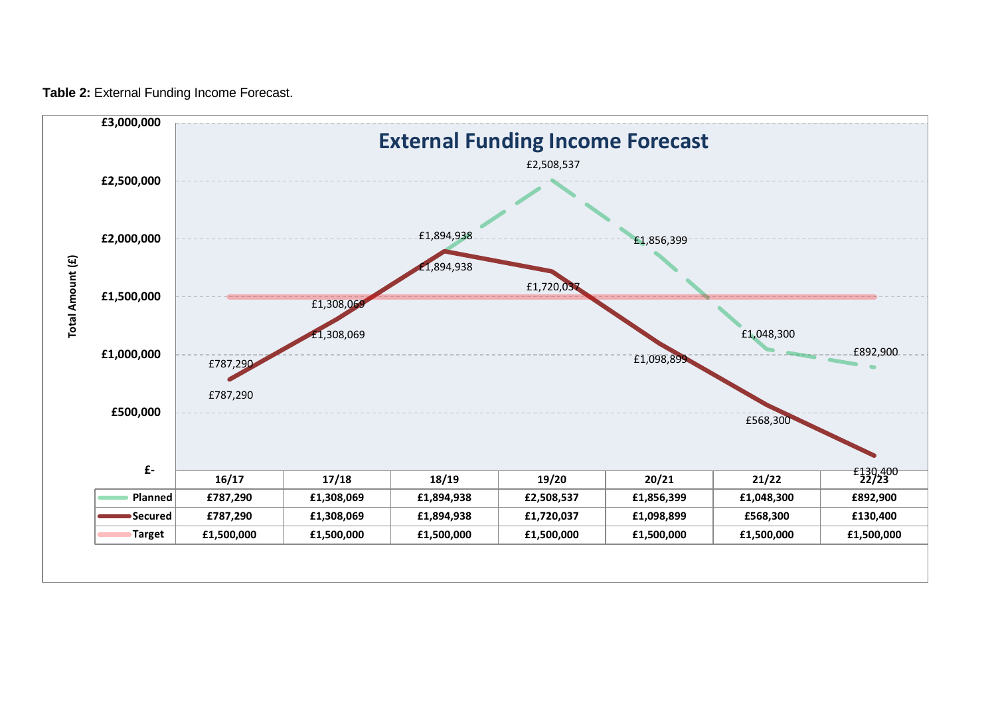**Table 2:** External Funding Income Forecast.

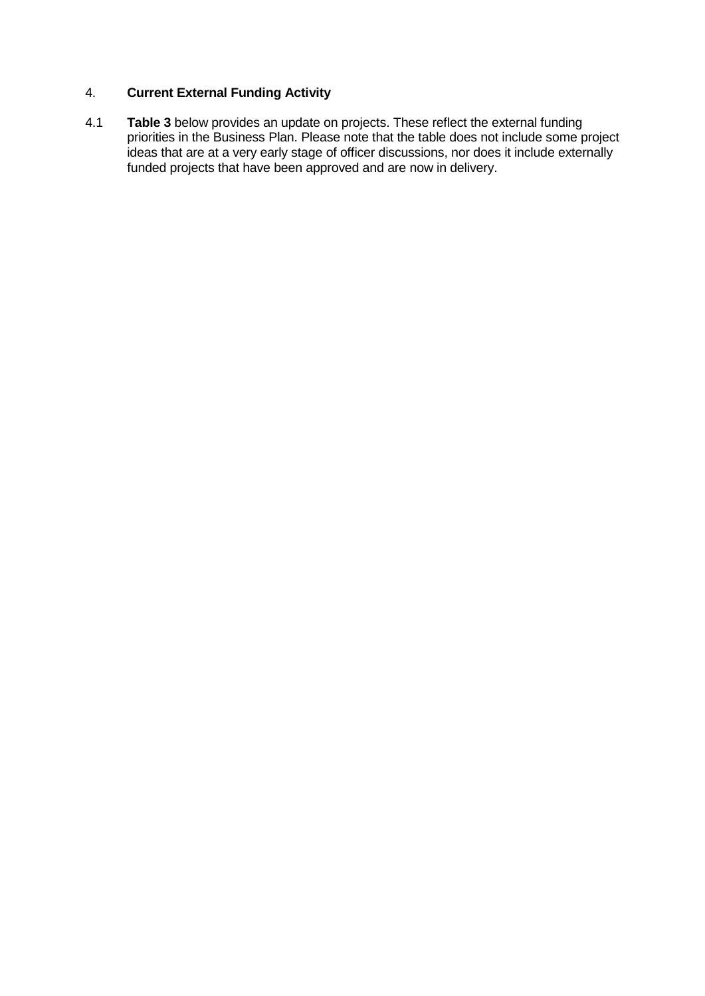## 4. **Current External Funding Activity**

4.1 **Table 3** below provides an update on projects. These reflect the external funding priorities in the Business Plan. Please note that the table does not include some project ideas that are at a very early stage of officer discussions, nor does it include externally funded projects that have been approved and are now in delivery.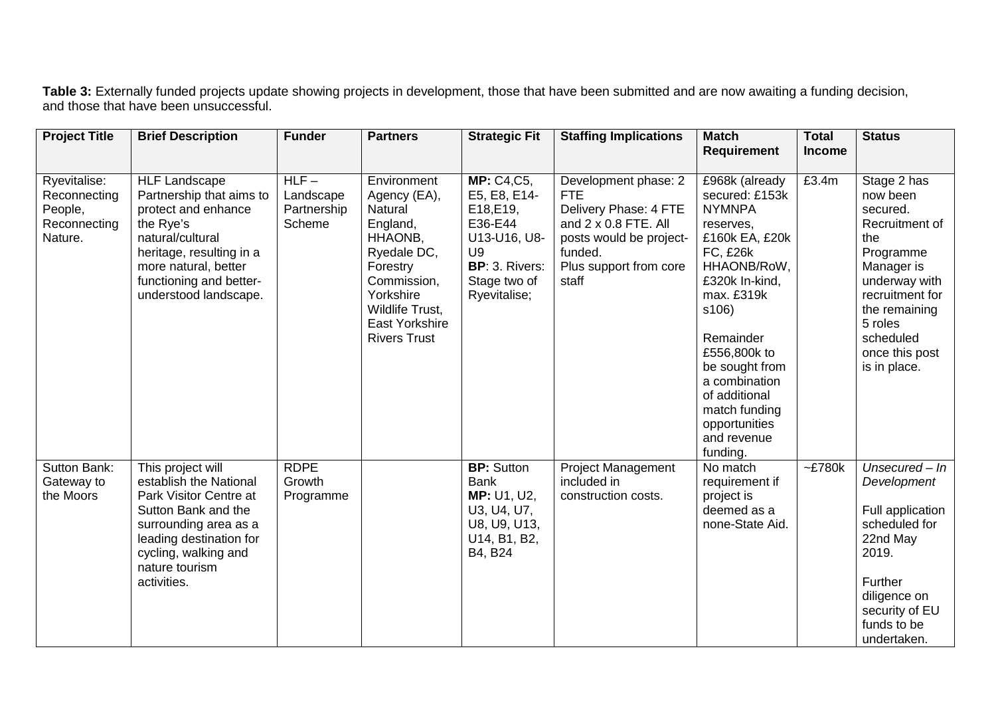**Table 3:** Externally funded projects update showing projects in development, those that have been submitted and are now awaiting a funding decision, and those that have been unsuccessful.

| <b>Project Title</b>                                               | <b>Brief Description</b>                                                                                                                                                                                         | <b>Funder</b>                                 | <b>Partners</b>                                                                                                                                                                  | <b>Strategic Fit</b>                                                                                                              | <b>Staffing Implications</b>                                                                                                                                 | <b>Match</b>                                                                                                                                                                                                                                                                                              | <b>Total</b>  | <b>Status</b>                                                                                                                                                                                          |
|--------------------------------------------------------------------|------------------------------------------------------------------------------------------------------------------------------------------------------------------------------------------------------------------|-----------------------------------------------|----------------------------------------------------------------------------------------------------------------------------------------------------------------------------------|-----------------------------------------------------------------------------------------------------------------------------------|--------------------------------------------------------------------------------------------------------------------------------------------------------------|-----------------------------------------------------------------------------------------------------------------------------------------------------------------------------------------------------------------------------------------------------------------------------------------------------------|---------------|--------------------------------------------------------------------------------------------------------------------------------------------------------------------------------------------------------|
|                                                                    |                                                                                                                                                                                                                  |                                               |                                                                                                                                                                                  |                                                                                                                                   |                                                                                                                                                              | <b>Requirement</b>                                                                                                                                                                                                                                                                                        | <b>Income</b> |                                                                                                                                                                                                        |
| Ryevitalise:<br>Reconnecting<br>People,<br>Reconnecting<br>Nature. | <b>HLF Landscape</b><br>Partnership that aims to<br>protect and enhance<br>the Rye's<br>natural/cultural<br>heritage, resulting in a<br>more natural, better<br>functioning and better-<br>understood landscape. | $HLF -$<br>Landscape<br>Partnership<br>Scheme | Environment<br>Agency (EA),<br>Natural<br>England,<br>HHAONB,<br>Ryedale DC,<br>Forestry<br>Commission,<br>Yorkshire<br>Wildlife Trust,<br>East Yorkshire<br><b>Rivers Trust</b> | <b>MP: C4,C5,</b><br>E5, E8, E14-<br>E18, E19,<br>E36-E44<br>U13-U16, U8-<br>U9<br>BP: 3. Rivers:<br>Stage two of<br>Ryevitalise; | Development phase: 2<br><b>FTE</b><br>Delivery Phase: 4 FTE<br>and 2 x 0.8 FTE. All<br>posts would be project-<br>funded.<br>Plus support from core<br>staff | £968k (already<br>secured: £153k<br><b>NYMNPA</b><br>reserves,<br>£160k EA, £20k<br><b>FC, £26k</b><br>HHAONB/RoW,<br>£320k In-kind,<br>max. £319k<br>s106)<br>Remainder<br>£556,800k to<br>be sought from<br>a combination<br>of additional<br>match funding<br>opportunities<br>and revenue<br>funding. | £3.4m         | Stage 2 has<br>now been<br>secured.<br>Recruitment of<br>the<br>Programme<br>Manager is<br>underway with<br>recruitment for<br>the remaining<br>5 roles<br>scheduled<br>once this post<br>is in place. |
| Sutton Bank:<br>Gateway to<br>the Moors                            | This project will<br>establish the National<br>Park Visitor Centre at<br>Sutton Bank and the<br>surrounding area as a<br>leading destination for<br>cycling, walking and<br>nature tourism<br>activities.        | <b>RDPE</b><br>Growth<br>Programme            |                                                                                                                                                                                  | <b>BP: Sutton</b><br><b>Bank</b><br>MP: U1, U2,<br>U3, U4, U7,<br>U8, U9, U13,<br>U14, B1, B2,<br>B4, B24                         | <b>Project Management</b><br>included in<br>construction costs.                                                                                              | No match<br>requirement if<br>project is<br>deemed as a<br>none-State Aid.                                                                                                                                                                                                                                | $-E780k$      | Unsecured $-$ In<br>Development<br>Full application<br>scheduled for<br>22nd May<br>2019.<br>Further<br>diligence on<br>security of EU<br>funds to be<br>undertaken.                                   |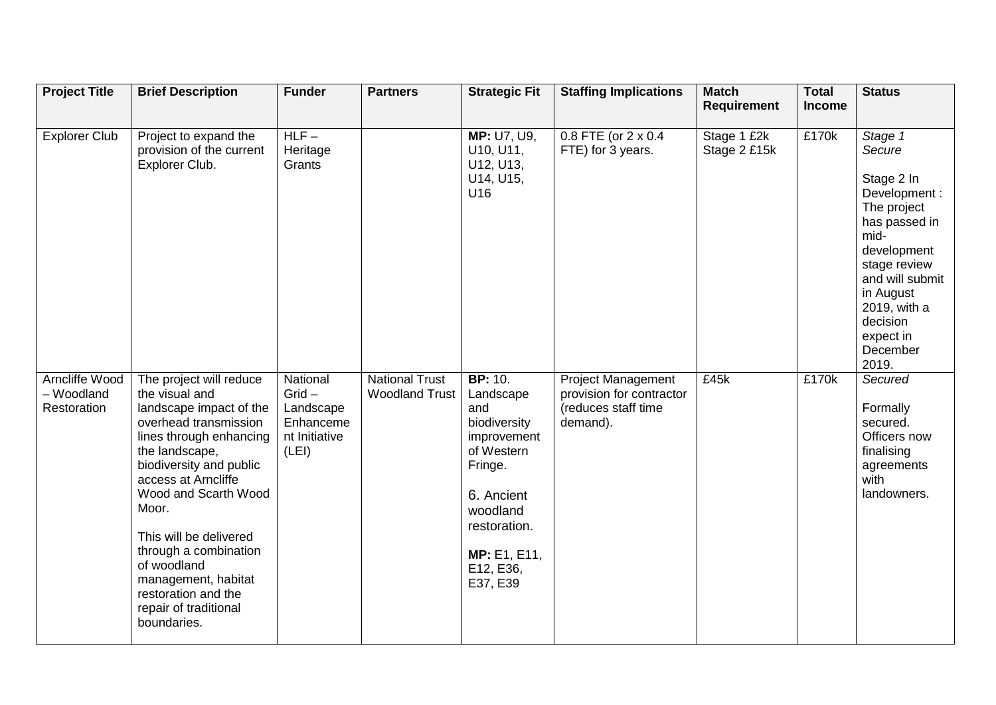| <b>Project Title</b>                               | <b>Brief Description</b>                                                                                                                                                                                                                                                                                                                                                              | <b>Funder</b>                                                            | <b>Partners</b>                                | <b>Strategic Fit</b>                                                                                                                                                          | <b>Staffing Implications</b>                                                             | <b>Match</b><br><b>Requirement</b> | <b>Total</b><br><b>Income</b> | <b>Status</b>                                                                                                                                                                                                        |
|----------------------------------------------------|---------------------------------------------------------------------------------------------------------------------------------------------------------------------------------------------------------------------------------------------------------------------------------------------------------------------------------------------------------------------------------------|--------------------------------------------------------------------------|------------------------------------------------|-------------------------------------------------------------------------------------------------------------------------------------------------------------------------------|------------------------------------------------------------------------------------------|------------------------------------|-------------------------------|----------------------------------------------------------------------------------------------------------------------------------------------------------------------------------------------------------------------|
| <b>Explorer Club</b>                               | Project to expand the<br>provision of the current<br>Explorer Club.                                                                                                                                                                                                                                                                                                                   | $HLF-$<br>Heritage<br>Grants                                             |                                                | MP: U7, U9,<br>U10, U11,<br>U12, U13,<br>U14, U15,<br>U16                                                                                                                     | $0.8$ FTE (or $2 \times 0.4$<br>FTE) for 3 years.                                        | Stage 1 £2k<br>Stage 2 £15k        | £170k                         | Stage 1<br>Secure<br>Stage 2 In<br>Development:<br>The project<br>has passed in<br>mid-<br>development<br>stage review<br>and will submit<br>in August<br>2019, with a<br>decision<br>expect in<br>December<br>2019. |
| <b>Arncliffe Wood</b><br>- Woodland<br>Restoration | The project will reduce<br>the visual and<br>landscape impact of the<br>overhead transmission<br>lines through enhancing<br>the landscape,<br>biodiversity and public<br>access at Arncliffe<br>Wood and Scarth Wood<br>Moor.<br>This will be delivered<br>through a combination<br>of woodland<br>management, habitat<br>restoration and the<br>repair of traditional<br>boundaries. | National<br>$Grid -$<br>Landscape<br>Enhanceme<br>nt Initiative<br>(LEI) | <b>National Trust</b><br><b>Woodland Trust</b> | <b>BP: 10.</b><br>Landscape<br>and<br>biodiversity<br>improvement<br>of Western<br>Fringe.<br>6. Ancient<br>woodland<br>restoration.<br>MP: E1, E11,<br>E12, E36,<br>E37, E39 | <b>Project Management</b><br>provision for contractor<br>(reduces staff time<br>demand). | £45k                               | £170k                         | Secured<br>Formally<br>secured.<br>Officers now<br>finalising<br>agreements<br>with<br>landowners.                                                                                                                   |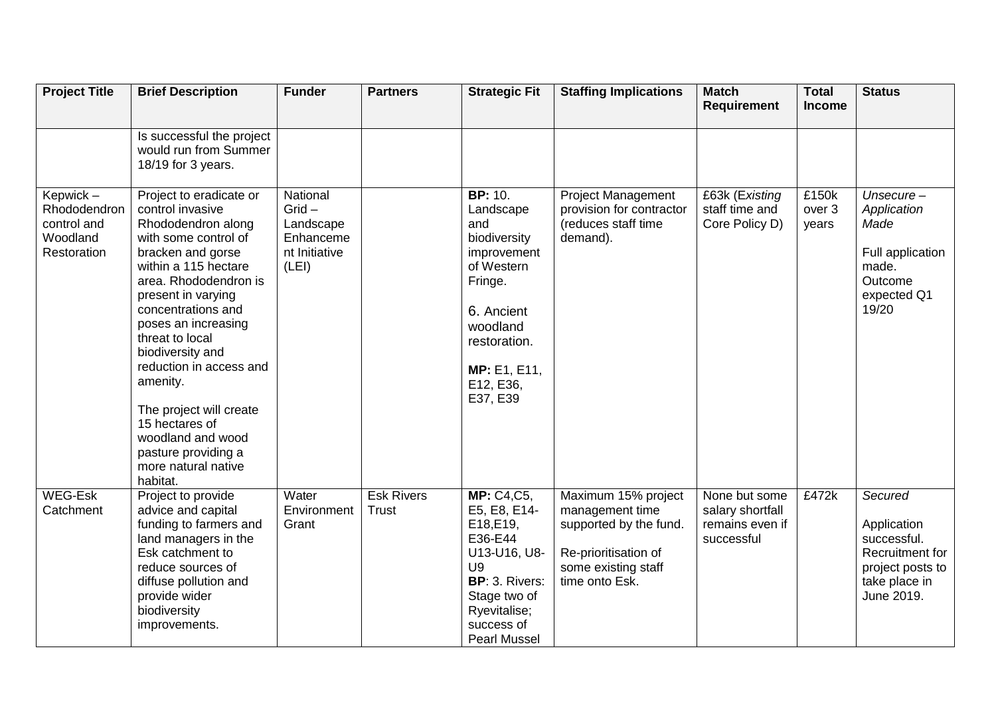| <b>Project Title</b>                                                | <b>Brief Description</b>                                                                                                                                                                                                                                                                                                                                                                                                                     | <b>Funder</b>                                                            | <b>Partners</b>                   | <b>Strategic Fit</b>                                                                                                                                                          | <b>Staffing Implications</b>                                                                                                      | <b>Match</b><br><b>Requirement</b>                                 | <b>Total</b><br><b>Income</b> | <b>Status</b>                                                                                               |
|---------------------------------------------------------------------|----------------------------------------------------------------------------------------------------------------------------------------------------------------------------------------------------------------------------------------------------------------------------------------------------------------------------------------------------------------------------------------------------------------------------------------------|--------------------------------------------------------------------------|-----------------------------------|-------------------------------------------------------------------------------------------------------------------------------------------------------------------------------|-----------------------------------------------------------------------------------------------------------------------------------|--------------------------------------------------------------------|-------------------------------|-------------------------------------------------------------------------------------------------------------|
|                                                                     | Is successful the project<br>would run from Summer<br>18/19 for 3 years.                                                                                                                                                                                                                                                                                                                                                                     |                                                                          |                                   |                                                                                                                                                                               |                                                                                                                                   |                                                                    |                               |                                                                                                             |
| Kepwick -<br>Rhododendron<br>control and<br>Woodland<br>Restoration | Project to eradicate or<br>control invasive<br>Rhododendron along<br>with some control of<br>bracken and gorse<br>within a 115 hectare<br>area. Rhododendron is<br>present in varying<br>concentrations and<br>poses an increasing<br>threat to local<br>biodiversity and<br>reduction in access and<br>amenity.<br>The project will create<br>15 hectares of<br>woodland and wood<br>pasture providing a<br>more natural native<br>habitat. | National<br>$Grid -$<br>Landscape<br>Enhanceme<br>nt Initiative<br>(LEI) |                                   | <b>BP: 10.</b><br>Landscape<br>and<br>biodiversity<br>improvement<br>of Western<br>Fringe.<br>6. Ancient<br>woodland<br>restoration.<br>MP: E1, E11,<br>E12, E36,<br>E37, E39 | Project Management<br>provision for contractor<br>(reduces staff time<br>demand).                                                 | £63k (Existing<br>staff time and<br>Core Policy D)                 | £150k<br>over 3<br>years      | $Unsecure -$<br>Application<br>Made<br>Full application<br>made.<br>Outcome<br>expected Q1<br>19/20         |
| <b>WEG-Esk</b><br>Catchment                                         | Project to provide<br>advice and capital<br>funding to farmers and<br>land managers in the<br>Esk catchment to<br>reduce sources of<br>diffuse pollution and<br>provide wider<br>biodiversity<br>improvements.                                                                                                                                                                                                                               | Water<br>Environment<br>Grant                                            | <b>Esk Rivers</b><br><b>Trust</b> | <b>MP: C4,C5,</b><br>E5, E8, E14-<br>E18, E19,<br>E36-E44<br>U13-U16, U8-<br><b>U9</b><br>BP: 3. Rivers:<br>Stage two of<br>Ryevitalise;<br>success of<br><b>Pearl Mussel</b> | Maximum 15% project<br>management time<br>supported by the fund.<br>Re-prioritisation of<br>some existing staff<br>time onto Esk. | None but some<br>salary shortfall<br>remains even if<br>successful | £472k                         | Secured<br>Application<br>successful.<br>Recruitment for<br>project posts to<br>take place in<br>June 2019. |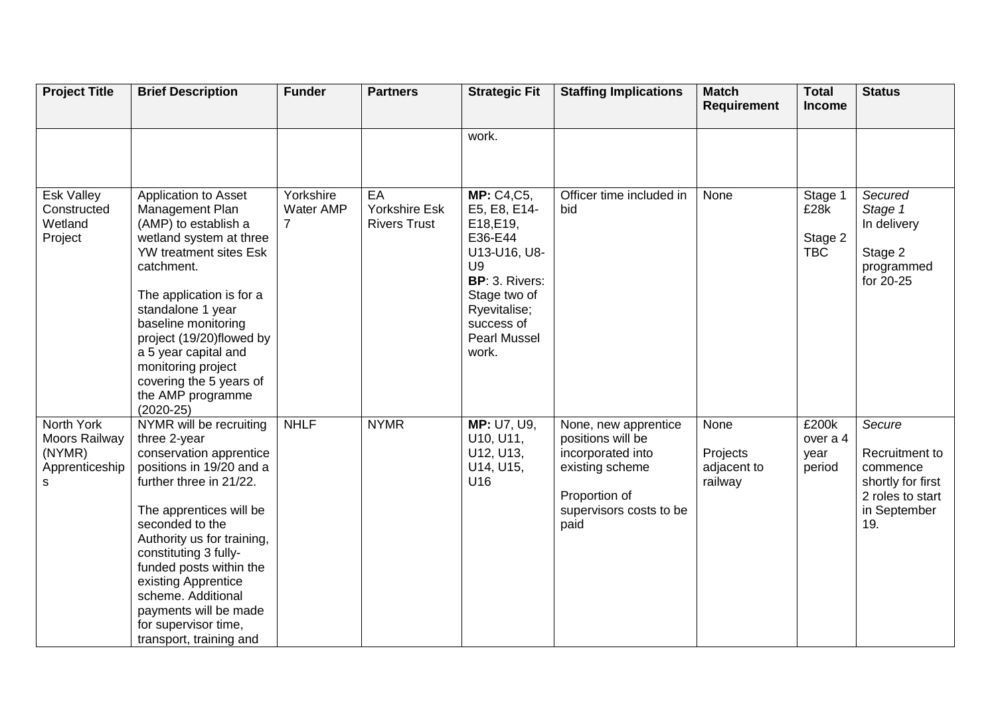| <b>Project Title</b>                                         | <b>Brief Description</b>                                                                                                                                                                                                                                                                                                                                                           | <b>Funder</b>                            | <b>Partners</b>                                   | <b>Strategic Fit</b>                                                                                                                                                            | <b>Staffing Implications</b>                                                                                                          | <b>Match</b><br><b>Requirement</b>         | <b>Total</b><br><b>Income</b>            | <b>Status</b>                                                                                        |
|--------------------------------------------------------------|------------------------------------------------------------------------------------------------------------------------------------------------------------------------------------------------------------------------------------------------------------------------------------------------------------------------------------------------------------------------------------|------------------------------------------|---------------------------------------------------|---------------------------------------------------------------------------------------------------------------------------------------------------------------------------------|---------------------------------------------------------------------------------------------------------------------------------------|--------------------------------------------|------------------------------------------|------------------------------------------------------------------------------------------------------|
|                                                              |                                                                                                                                                                                                                                                                                                                                                                                    |                                          |                                                   | work.                                                                                                                                                                           |                                                                                                                                       |                                            |                                          |                                                                                                      |
| <b>Esk Valley</b><br>Constructed<br>Wetland<br>Project       | Application to Asset<br>Management Plan<br>(AMP) to establish a<br>wetland system at three<br><b>YW</b> treatment sites Esk<br>catchment.<br>The application is for a<br>standalone 1 year<br>baseline monitoring<br>project (19/20)flowed by<br>a 5 year capital and<br>monitoring project<br>covering the 5 years of<br>the AMP programme<br>$(2020-25)$                         | Yorkshire<br>Water AMP<br>$\overline{7}$ | EA<br><b>Yorkshire Esk</b><br><b>Rivers Trust</b> | <b>MP: C4,C5,</b><br>E5, E8, E14-<br>E18, E19,<br>E36-E44<br>U13-U16, U8-<br>U9<br>BP: 3. Rivers:<br>Stage two of<br>Ryevitalise;<br>success of<br><b>Pearl Mussel</b><br>work. | Officer time included in<br>bid                                                                                                       | None                                       | Stage 1<br>£28k<br>Stage 2<br><b>TBC</b> | Secured<br>Stage 1<br>In delivery<br>Stage 2<br>programmed<br>for 20-25                              |
| North York<br>Moors Railway<br>(NYMR)<br>Apprenticeship<br>s | NYMR will be recruiting<br>three 2-year<br>conservation apprentice<br>positions in 19/20 and a<br>further three in 21/22.<br>The apprentices will be<br>seconded to the<br>Authority us for training,<br>constituting 3 fully-<br>funded posts within the<br>existing Apprentice<br>scheme. Additional<br>payments will be made<br>for supervisor time,<br>transport, training and | <b>NHLF</b>                              | <b>NYMR</b>                                       | MP: U7, U9,<br>U10, U11,<br>U12, U13,<br>U14, U15,<br>U16                                                                                                                       | None, new apprentice<br>positions will be<br>incorporated into<br>existing scheme<br>Proportion of<br>supervisors costs to be<br>paid | None<br>Projects<br>adjacent to<br>railway | £200k<br>over a 4<br>year<br>period      | Secure<br>Recruitment to<br>commence<br>shortly for first<br>2 roles to start<br>in September<br>19. |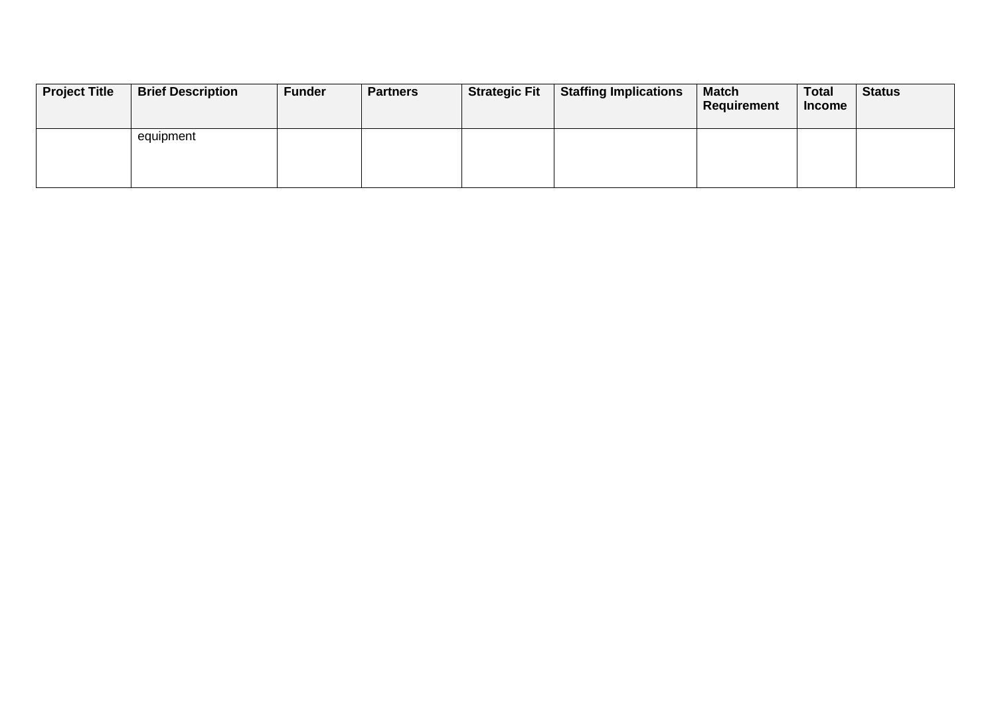| <b>Project Title</b> | <b>Brief Description</b> | <b>Funder</b> | <b>Partners</b> | <b>Strategic Fit</b> | <b>Staffing Implications</b> | <b>Match</b><br><b>Requirement</b> | <b>Total</b><br><b>Income</b> | <b>Status</b> |
|----------------------|--------------------------|---------------|-----------------|----------------------|------------------------------|------------------------------------|-------------------------------|---------------|
|                      | equipment                |               |                 |                      |                              |                                    |                               |               |
|                      |                          |               |                 |                      |                              |                                    |                               |               |